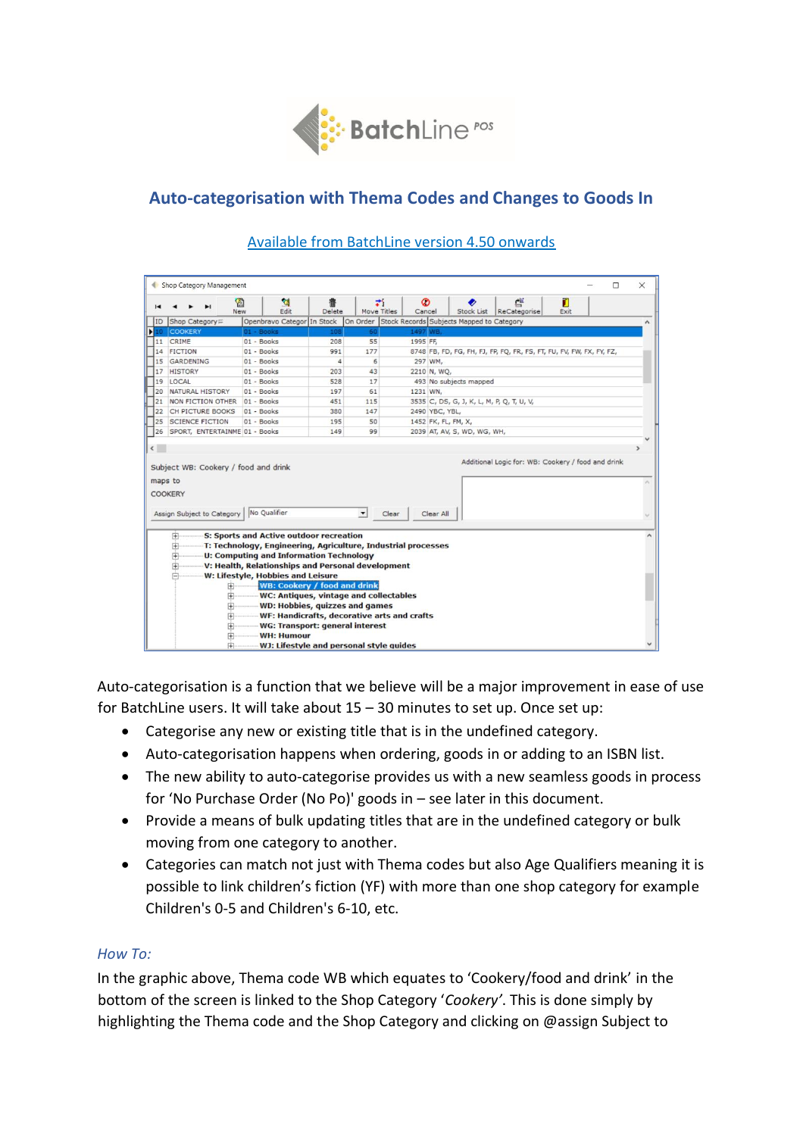

# **Auto-categorisation with Thema Codes and Changes to Goods In**

| On Order Stock Records Subjects Mapped to Category<br>Shop Category<br>Openbravo Categor In Stock<br><b>COOKERY</b><br>01 - Books<br>1497 WB,<br>108<br>60<br>CRIME<br>$01 - Books$<br>55<br>1995 FF.<br>208<br><b>FICTION</b><br>$01 - Books$<br>991<br>177<br>8748 FB, FD, FG, FH, FJ, FP, FQ, FR, FS, FT, FU, FV, FW, FX, FY, FZ,<br>GARDENING<br>01 - Books<br>6<br>$\overline{a}$<br>297 WM,<br><b>HISTORY</b><br>01 - Books<br>43<br>2210 N, WQ,<br>203<br>LOCAL<br>493 No subjects mapped<br>01 - Books<br>528<br>17<br>NATURAL HISTORY<br>01 - Books<br>197<br>61<br>1231 WN,<br>NON FICTION OTHER 01 - Books<br>3535 C, DS, G, J, K, L, M, P, Q, T, U, V,<br>451<br>115<br>CH PICTURE BOOKS<br>01 - Books<br>147<br>380<br>2490 YBC, YBL,<br><b>SCIENCE FICTION</b><br>$01 - Books$<br>50<br>1452 FK, FL, FM, X,<br>195<br>SPORT, ENTERTAINME 01 - Books<br>99<br>2039 AT, AV, S, WD, WG, WH,<br>149<br>Additional Logic for: WB: Cookery / food and drink<br>No Qualifier<br>$\overline{\phantom{a}}$<br>Clear<br>Clear All | 14<br>17<br>19<br>20<br>21<br>22<br>25<br>26<br>$\left\langle \right\rangle$<br>Subject WB: Cookery / food and drink<br>maps to<br>COOKERY<br>Assign Subject to Category<br>S: Sports and Active outdoor recreation<br>田<br>T: Technology, Engineering, Agriculture, Industrial processes<br>由<br><b>U: Computing and Information Technology</b><br>审 |                          | 图<br><b>New</b> | <b>R</b><br>Edit | Delete | z.<br>Move Titles | Ø<br>Cancel | Stock List | 些<br>ReCategorise | П<br>Exit |  |  |
|---------------------------------------------------------------------------------------------------------------------------------------------------------------------------------------------------------------------------------------------------------------------------------------------------------------------------------------------------------------------------------------------------------------------------------------------------------------------------------------------------------------------------------------------------------------------------------------------------------------------------------------------------------------------------------------------------------------------------------------------------------------------------------------------------------------------------------------------------------------------------------------------------------------------------------------------------------------------------------------------------------------------------------------|-------------------------------------------------------------------------------------------------------------------------------------------------------------------------------------------------------------------------------------------------------------------------------------------------------------------------------------------------------|--------------------------|-----------------|------------------|--------|-------------------|-------------|------------|-------------------|-----------|--|--|
|                                                                                                                                                                                                                                                                                                                                                                                                                                                                                                                                                                                                                                                                                                                                                                                                                                                                                                                                                                                                                                       |                                                                                                                                                                                                                                                                                                                                                       | ID                       |                 |                  |        |                   |             |            |                   |           |  |  |
|                                                                                                                                                                                                                                                                                                                                                                                                                                                                                                                                                                                                                                                                                                                                                                                                                                                                                                                                                                                                                                       |                                                                                                                                                                                                                                                                                                                                                       | $\blacktriangleright$ 10 |                 |                  |        |                   |             |            |                   |           |  |  |
|                                                                                                                                                                                                                                                                                                                                                                                                                                                                                                                                                                                                                                                                                                                                                                                                                                                                                                                                                                                                                                       |                                                                                                                                                                                                                                                                                                                                                       | 11                       |                 |                  |        |                   |             |            |                   |           |  |  |
|                                                                                                                                                                                                                                                                                                                                                                                                                                                                                                                                                                                                                                                                                                                                                                                                                                                                                                                                                                                                                                       |                                                                                                                                                                                                                                                                                                                                                       |                          |                 |                  |        |                   |             |            |                   |           |  |  |
|                                                                                                                                                                                                                                                                                                                                                                                                                                                                                                                                                                                                                                                                                                                                                                                                                                                                                                                                                                                                                                       |                                                                                                                                                                                                                                                                                                                                                       | 15                       |                 |                  |        |                   |             |            |                   |           |  |  |
|                                                                                                                                                                                                                                                                                                                                                                                                                                                                                                                                                                                                                                                                                                                                                                                                                                                                                                                                                                                                                                       |                                                                                                                                                                                                                                                                                                                                                       |                          |                 |                  |        |                   |             |            |                   |           |  |  |
|                                                                                                                                                                                                                                                                                                                                                                                                                                                                                                                                                                                                                                                                                                                                                                                                                                                                                                                                                                                                                                       |                                                                                                                                                                                                                                                                                                                                                       |                          |                 |                  |        |                   |             |            |                   |           |  |  |
|                                                                                                                                                                                                                                                                                                                                                                                                                                                                                                                                                                                                                                                                                                                                                                                                                                                                                                                                                                                                                                       |                                                                                                                                                                                                                                                                                                                                                       |                          |                 |                  |        |                   |             |            |                   |           |  |  |
|                                                                                                                                                                                                                                                                                                                                                                                                                                                                                                                                                                                                                                                                                                                                                                                                                                                                                                                                                                                                                                       |                                                                                                                                                                                                                                                                                                                                                       |                          |                 |                  |        |                   |             |            |                   |           |  |  |
|                                                                                                                                                                                                                                                                                                                                                                                                                                                                                                                                                                                                                                                                                                                                                                                                                                                                                                                                                                                                                                       |                                                                                                                                                                                                                                                                                                                                                       |                          |                 |                  |        |                   |             |            |                   |           |  |  |
|                                                                                                                                                                                                                                                                                                                                                                                                                                                                                                                                                                                                                                                                                                                                                                                                                                                                                                                                                                                                                                       |                                                                                                                                                                                                                                                                                                                                                       |                          |                 |                  |        |                   |             |            |                   |           |  |  |
|                                                                                                                                                                                                                                                                                                                                                                                                                                                                                                                                                                                                                                                                                                                                                                                                                                                                                                                                                                                                                                       |                                                                                                                                                                                                                                                                                                                                                       |                          |                 |                  |        |                   |             |            |                   |           |  |  |
|                                                                                                                                                                                                                                                                                                                                                                                                                                                                                                                                                                                                                                                                                                                                                                                                                                                                                                                                                                                                                                       |                                                                                                                                                                                                                                                                                                                                                       |                          |                 |                  |        |                   |             |            |                   |           |  |  |
| V: Health, Relationships and Personal development<br>田<br>W: Lifestyle, Hobbies and Leisure<br>⊫<br><b>WB: Cookery / food and drink</b><br>田                                                                                                                                                                                                                                                                                                                                                                                                                                                                                                                                                                                                                                                                                                                                                                                                                                                                                          |                                                                                                                                                                                                                                                                                                                                                       |                          |                 |                  |        |                   |             |            |                   |           |  |  |
| WC: Antiques, vintage and collectables<br>田<br><b>WD: Hobbies, quizzes and games</b><br>审                                                                                                                                                                                                                                                                                                                                                                                                                                                                                                                                                                                                                                                                                                                                                                                                                                                                                                                                             |                                                                                                                                                                                                                                                                                                                                                       |                          |                 |                  |        |                   |             |            |                   |           |  |  |
| WF: Handicrafts, decorative arts and crafts<br>田<br>WG: Transport: general interest<br>由<br><b>WH: Humour</b><br>田                                                                                                                                                                                                                                                                                                                                                                                                                                                                                                                                                                                                                                                                                                                                                                                                                                                                                                                    |                                                                                                                                                                                                                                                                                                                                                       |                          |                 |                  |        |                   |             |            |                   |           |  |  |

# Available from BatchLine version 4.50 onwards

Auto-categorisation is a function that we believe will be a major improvement in ease of use for BatchLine users. It will take about 15 – 30 minutes to set up. Once set up:

- Categorise any new or existing title that is in the undefined category.
- Auto-categorisation happens when ordering, goods in or adding to an ISBN list.
- The new ability to auto-categorise provides us with a new seamless goods in process for 'No Purchase Order (No Po)' goods in – see later in this document.
- Provide a means of bulk updating titles that are in the undefined category or bulk moving from one category to another.
- Categories can match not just with Thema codes but also Age Qualifiers meaning it is possible to link children's fiction (YF) with more than one shop category for example Children's 0-5 and Children's 6-10, etc.

#### *How To:*

In the graphic above, Thema code WB which equates to 'Cookery/food and drink' in the bottom of the screen is linked to the Shop Category '*Cookery'*. This is done simply by highlighting the Thema code and the Shop Category and clicking on @assign Subject to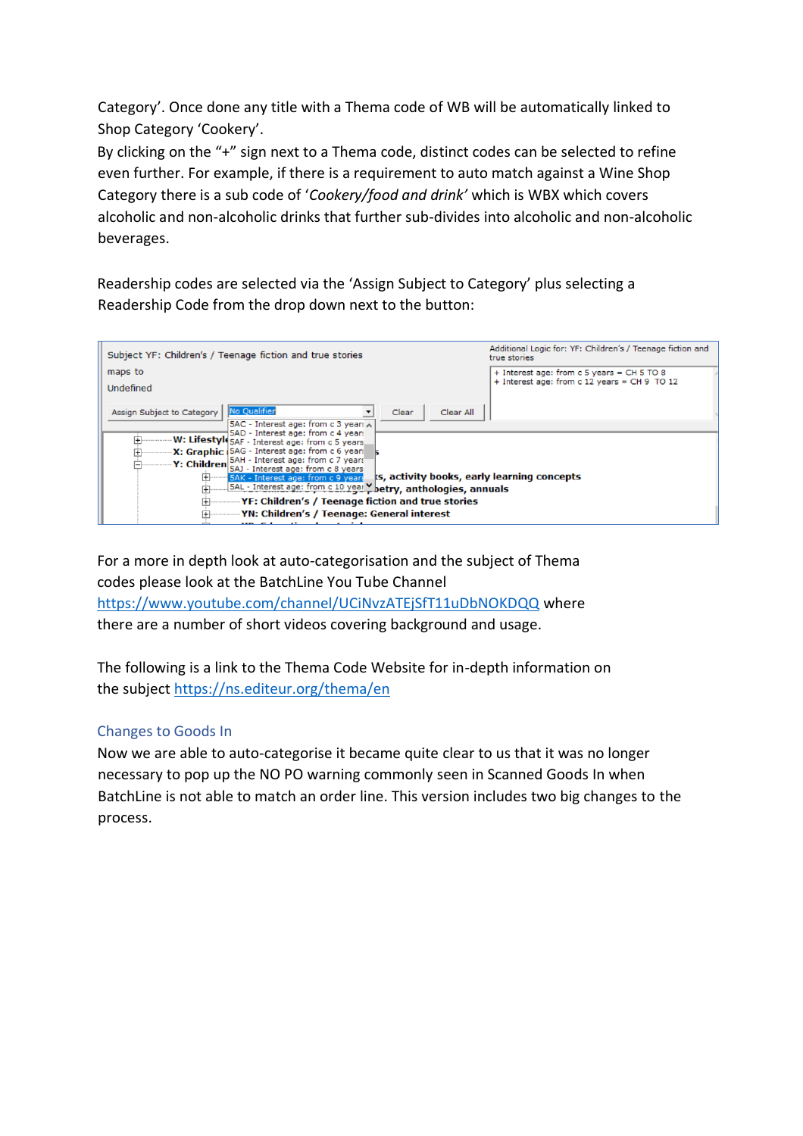Category'. Once done any title with a Thema code of WB will be automatically linked to Shop Category 'Cookery'.

By clicking on the "+" sign next to a Thema code, distinct codes can be selected to refine even further. For example, if there is a requirement to auto match against a Wine Shop Category there is a sub code of '*Cookery/food and drink'* which is WBX which covers alcoholic and non-alcoholic drinks that further sub-divides into alcoholic and non-alcoholic beverages.

Readership codes are selected via the 'Assign Subject to Category' plus selecting a Readership Code from the drop down next to the button:

| Subject YF: Children's / Teenage fiction and true stories                                                                                                                                                                                                                                                                                                                                                                                                                    | Additional Logic for: YF: Children's / Teenage fiction and<br>true stories                 |
|------------------------------------------------------------------------------------------------------------------------------------------------------------------------------------------------------------------------------------------------------------------------------------------------------------------------------------------------------------------------------------------------------------------------------------------------------------------------------|--------------------------------------------------------------------------------------------|
| maps to<br>Undefined                                                                                                                                                                                                                                                                                                                                                                                                                                                         | + Interest age: from c 5 years = CH 5 TO 8<br>+ Interest age: from c 12 years = CH 9 TO 12 |
| No Qualifier<br>Assign Subject to Category<br>Clear<br>Clear All<br>SAC - Interest age: from c 3 year: A<br>5AD - Interest age: from c 4 year:<br>W: Lifestyle 5AF - Interest age: from c 5 years<br>ஈ<br>X: Graphic   5AG - Interest age: from c 6 years<br>Y: Children 5AH - Interest age: from c 7 years<br>ts, activity books, early learning concepts<br>田<br>5AK - Interest age: from c 9 years<br>5AL - Interest age: from c 10 year betry, anthologies, annuals<br>曱 |                                                                                            |
| YF: Children's / Teenage fiction and true stories                                                                                                                                                                                                                                                                                                                                                                                                                            |                                                                                            |
| YN: Children's / Teenage: General interest<br>MBa Falamentle and montended                                                                                                                                                                                                                                                                                                                                                                                                   |                                                                                            |

For a more in depth look at auto-categorisation and the subject of Thema codes please look at the BatchLine You Tube Channel <https://www.youtube.com/channel/UCiNvzATEjSfT11uDbNOKDQQ> where there are a number of short videos covering background and usage.

The following is a link to the Thema Code Website for in-depth information on the subject<https://ns.editeur.org/thema/en>

# Changes to Goods In

Now we are able to auto-categorise it became quite clear to us that it was no longer necessary to pop up the NO PO warning commonly seen in Scanned Goods In when BatchLine is not able to match an order line. This version includes two big changes to the process.